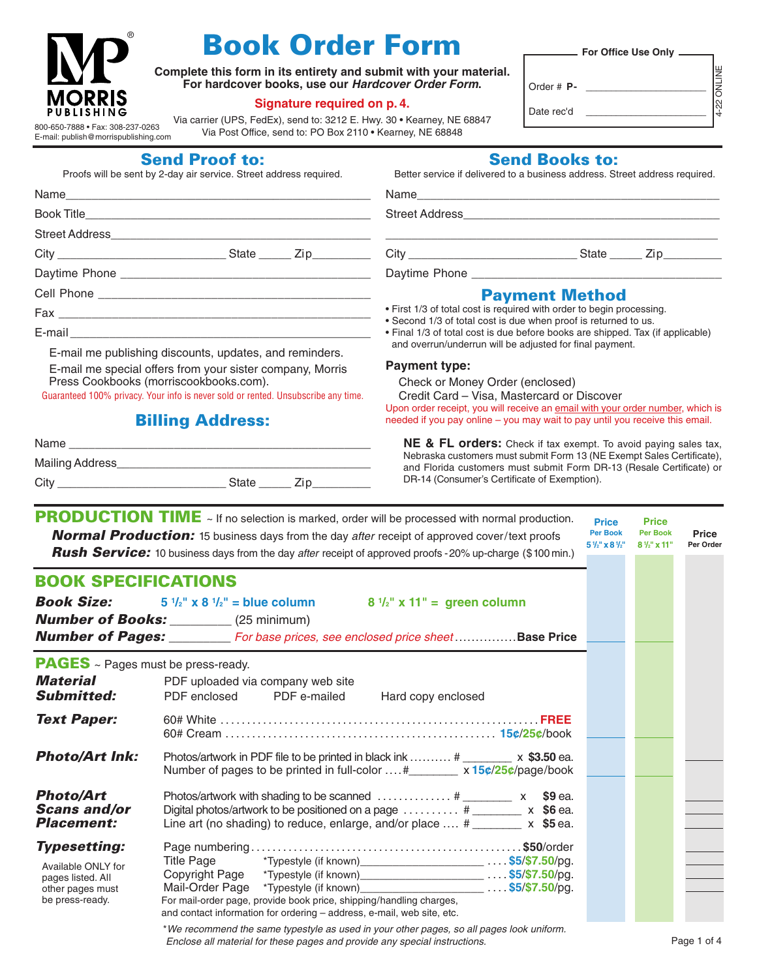

# **Book Order Form**

**Complete this form in its entirety and submit with your material. For hardcover books, use our** *Hardcover Order Form***.**

#### **Signature required on p. 4.**

Via carrier (UPS, FedEx), send to: 3212 E. Hwy. 30 • Kearney, NE 68847 Via Post Office, send to: PO Box 2110 • Kearney, NE 68848

|                     | For Office Use Only ______ |  |
|---------------------|----------------------------|--|
|                     |                            |  |
|                     |                            |  |
|                     |                            |  |
| Order $#$ <b>P-</b> |                            |  |

4-22 ONLINE

ONLINE 22

Date rec'd

800-650-7888 • Fax: 308-237-0263 E-mail: publish@morrispublishing.com

**Send Proof to:**

Proofs will be sent by 2-day air service. Street address required.

|                                                     | <b>Send Books to:</b> |  |
|-----------------------------------------------------|-----------------------|--|
| e if delivered to a business address. Street addres |                       |  |

| Better service if delivered to a business address. Street address required. |  |
|-----------------------------------------------------------------------------|--|
|-----------------------------------------------------------------------------|--|

| <b>Street Address</b> |  |                            |                                                                                                                                          |  |
|-----------------------|--|----------------------------|------------------------------------------------------------------------------------------------------------------------------------------|--|
|                       |  | State <u>Zip City</u> City | State <u>Cip</u>                                                                                                                         |  |
|                       |  |                            |                                                                                                                                          |  |
|                       |  |                            | <b>Payment Method</b>                                                                                                                    |  |
|                       |  |                            | . First 1/3 of total cost is required with order to begin processing.<br>. Second 1/3 of total cost is due when proof is returned to us. |  |
| E-mail                |  |                            | • Final 1/3 of total cost is due before books are shipped. Tax (if applicable)                                                           |  |

E-mail me publishing discounts, updates, and reminders. E-mail me special offers from your sister company, Morris Press Cookbooks (morriscookbooks.com).

Guaranteed 100% privacy. Your info is never sold or rented. Unsubscribe any time.

### **Billing Address:**

| Name             |       |     |
|------------------|-------|-----|
| Mailing Address_ |       |     |
| City             | State | 7in |
|                  |       |     |

## State Zip

### **Payment Method**

- cost is due when proof is returned to us.
- Final 1/3 of total cost is due before books are shipped. Tax (if applicable) and overrun/underrun will be adjusted for final payment.

#### **Payment type:**

Check or Money Order (enclosed)

Credit Card – Visa, Mastercard or Discover

Upon order receipt, you will receive an email with your order number, which is needed if you pay online – you may wait to pay until you receive this email.

**NE & FL orders:** Check if tax exempt. To avoid paying sales tax, Nebraska customers must submit Form 13 (NE Exempt Sales Certificate), and Florida customers must submit Form DR-13 (Resale Certificate) or DR-14 (Consumer's Certificate of Exemption).

|                                                                                                       | <b>PRODUCTION TIME</b> ~ If no selection is marked, order will be processed with normal production.<br><b>Normal Production:</b> 15 business days from the day after receipt of approved cover/text proofs<br><b>Rush Service:</b> 10 business days from the day <i>after</i> receipt of approved proofs -20% up-charge (\$100 min.)                                                                                                                                                | <b>Price</b><br><b>Per Book</b><br>$5\frac{1}{2}$ " x 8 $\frac{1}{2}$ " | <b>Price</b><br><b>Per Book</b><br>$8\frac{1}{2}$ " x 11" | <b>Price</b><br>Per Order |
|-------------------------------------------------------------------------------------------------------|-------------------------------------------------------------------------------------------------------------------------------------------------------------------------------------------------------------------------------------------------------------------------------------------------------------------------------------------------------------------------------------------------------------------------------------------------------------------------------------|-------------------------------------------------------------------------|-----------------------------------------------------------|---------------------------|
| <b>BOOK SPECIFICATIONS</b>                                                                            |                                                                                                                                                                                                                                                                                                                                                                                                                                                                                     |                                                                         |                                                           |                           |
|                                                                                                       | <b>Book Size:</b> 5 <sup>1</sup> / <sub>2</sub> " x 8 <sup>1</sup> / <sub>2</sub> " = blue column 8 <sup>1</sup> / <sub>2</sub> " x 11" = green column<br><b>Number of Books:</b> (25 minimum)<br><b>Number of Pages:</b> _________ For base prices, see enclosed price sheetBase Price                                                                                                                                                                                             |                                                                         |                                                           |                           |
| <b>PAGES</b> ~ Pages must be press-ready.                                                             |                                                                                                                                                                                                                                                                                                                                                                                                                                                                                     |                                                                         |                                                           |                           |
| <b>Material</b><br><b>Submitted:</b>                                                                  | PDF uploaded via company web site<br>PDF enclosed PDF e-mailed<br>Hard copy enclosed                                                                                                                                                                                                                                                                                                                                                                                                |                                                                         |                                                           |                           |
| <b>Text Paper:</b>                                                                                    |                                                                                                                                                                                                                                                                                                                                                                                                                                                                                     |                                                                         |                                                           |                           |
| <b>Photo/Art Ink:</b>                                                                                 | Photos/artwork in PDF file to be printed in black ink  # x \$3.50 ea.<br>Number of pages to be printed in full-color $\#$ x 15¢/25¢/page/book                                                                                                                                                                                                                                                                                                                                       |                                                                         |                                                           |                           |
| <b>Photo/Art</b><br><b>Scans and/or</b><br><b>Placement:</b>                                          | Photos/artwork with shading to be scanned $\ldots \ldots \ldots$ # $\ldots$ x \$9 ea.<br>Digital photos/artwork to be positioned on a page $\dots\dots\dots\dots$ # _______ x \$6 ea.<br>Line art (no shading) to reduce, enlarge, and/or place $\dots$ # ________ $x$ \$5 ea.                                                                                                                                                                                                      |                                                                         |                                                           |                           |
| <b>Typesetting:</b><br>Available ONLY for<br>pages listed. All<br>other pages must<br>be press-ready. | Title Page *Typestyle (if known)___________________________  \$5/\$7.50/pg.<br>Copyright Page *Typestyle (if known)________________________\$5/\$7.50/pg.<br>Mail-Order Page *Typestyle (if known)_______________________\$5/\$7.50/pg.<br>For mail-order page, provide book price, shipping/handling charges,<br>and contact information for ordering - address, e-mail, web site, etc.<br>*We recommend the came typestyle as used in your other peace, as all peace leak uniform |                                                                         |                                                           |                           |

 \**We recommend the same typestyle as used in your other pages, so all pages look uniform. Enclose all material for these pages and provide any special instructions.*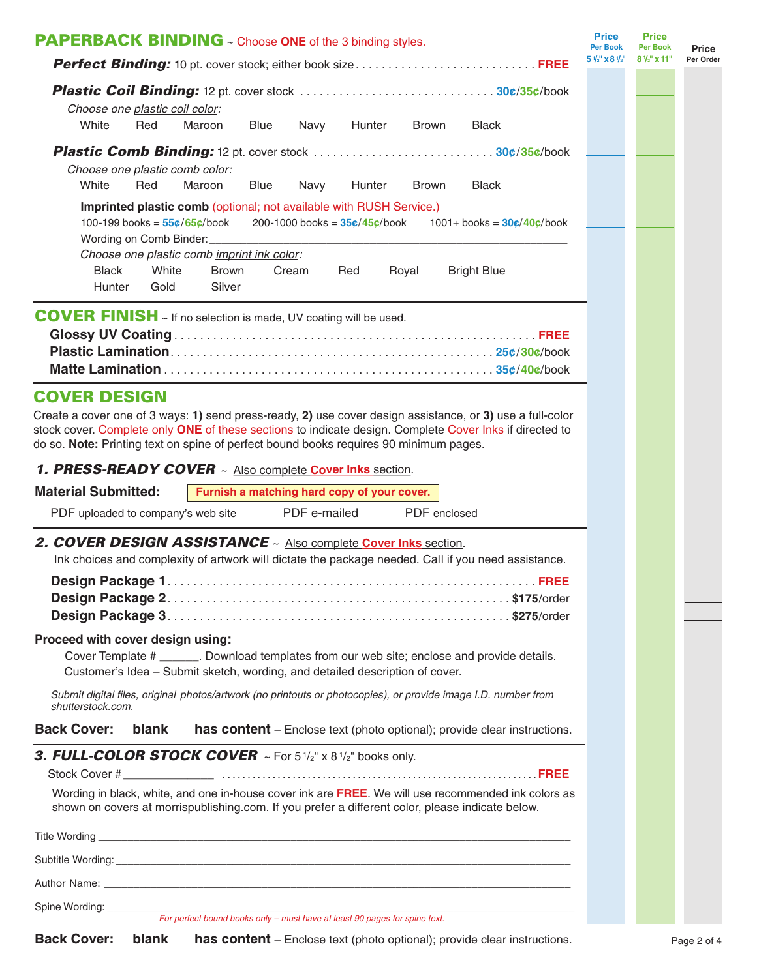| <b>PAPERBACK BINDING</b> ~ Choose ONE of the 3 binding styles.                                                                                                                                                                                                                                                                                                                                   | <b>Price</b><br><b>Per Book</b>    | <b>Price</b><br><b>Per Book</b> | <b>Price</b> |
|--------------------------------------------------------------------------------------------------------------------------------------------------------------------------------------------------------------------------------------------------------------------------------------------------------------------------------------------------------------------------------------------------|------------------------------------|---------------------------------|--------------|
|                                                                                                                                                                                                                                                                                                                                                                                                  | $5\frac{1}{2}$ x 8 $\frac{1}{2}$ " | $8\frac{1}{2}$ x 11"            | Per Order    |
|                                                                                                                                                                                                                                                                                                                                                                                                  |                                    |                                 |              |
| Choose one plastic coil color:<br>White<br>Red<br>Maroon<br><b>Blue</b><br>Navy<br>Hunter<br>Brown<br><b>Black</b>                                                                                                                                                                                                                                                                               |                                    |                                 |              |
|                                                                                                                                                                                                                                                                                                                                                                                                  |                                    |                                 |              |
| Choose one plastic comb color:<br>White<br>Red<br>Maroon<br><b>Blue</b><br><b>Black</b><br>Navy<br>Hunter<br>Brown                                                                                                                                                                                                                                                                               |                                    |                                 |              |
| Imprinted plastic comb (optional; not available with RUSH Service.)<br>100-199 books = $55¢/65¢/book$<br>200-1000 books = $35¢/45¢/$ book<br>$1001 +$ books = $30c/40c/b$ ook<br>Wording on Comb Binder:<br>Choose one plastic comb imprint ink color:<br><b>Black</b><br>White<br><b>Brown</b><br>Cream<br>Red<br>Royal<br><b>Bright Blue</b><br>Hunter<br>Gold<br>Silver                       |                                    |                                 |              |
| <b>COVER FINISH</b> ~ If no selection is made, UV coating will be used.                                                                                                                                                                                                                                                                                                                          |                                    |                                 |              |
| <b>COVER DESIGN</b><br>Create a cover one of 3 ways: 1) send press-ready, 2) use cover design assistance, or 3) use a full-color<br>stock cover. Complete only ONE of these sections to indicate design. Complete Cover Inks if directed to<br>do so. Note: Printing text on spine of perfect bound books requires 90 minimum pages.<br>1. PRESS-READY COVER ~ Also complete Cover Inks section. |                                    |                                 |              |
| <b>Material Submitted:</b><br>Furnish a matching hard copy of your cover.                                                                                                                                                                                                                                                                                                                        |                                    |                                 |              |
| PDF e-mailed<br>PDF enclosed<br>PDF uploaded to company's web site                                                                                                                                                                                                                                                                                                                               |                                    |                                 |              |
| 2. COVER DESIGN ASSISTANCE ~ Also complete Cover Inks section.<br>Ink choices and complexity of artwork will dictate the package needed. Call if you need assistance.                                                                                                                                                                                                                            |                                    |                                 |              |
| Proceed with cover design using:<br>Cover Template # _______. Download templates from our web site; enclose and provide details.<br>Customer's Idea - Submit sketch, wording, and detailed description of cover.                                                                                                                                                                                 |                                    |                                 |              |
| Submit digital files, original photos/artwork (no printouts or photocopies), or provide image I.D. number from<br>shutterstock.com.                                                                                                                                                                                                                                                              |                                    |                                 |              |
| <b>Back Cover:</b><br>blank<br>has content - Enclose text (photo optional); provide clear instructions.                                                                                                                                                                                                                                                                                          |                                    |                                 |              |
| 3. FULL-COLOR STOCK COVER $\sim$ For 5 <sup>1</sup> / <sub>2</sub> " x 8 <sup>1</sup> / <sub>2</sub> " books only.<br>Wording in black, white, and one in-house cover ink are FREE. We will use recommended ink colors as<br>shown on covers at morrispublishing.com. If you prefer a different color, please indicate below.                                                                    |                                    |                                 |              |
|                                                                                                                                                                                                                                                                                                                                                                                                  |                                    |                                 |              |
|                                                                                                                                                                                                                                                                                                                                                                                                  |                                    |                                 |              |
| Author Name: <u>Authority Commission Commission Commission Commission Commission Commission Commission Commission</u>                                                                                                                                                                                                                                                                            |                                    |                                 |              |
| Spine Wording: <u>example and the set of the set of the set of the set of the set of the set of the set of the set of the set of the set of the set of the set of the set of the set of the set of the set of the set of the set</u><br>For perfect bound books only - must have at least 90 pages for spine text.                                                                               |                                    |                                 |              |
|                                                                                                                                                                                                                                                                                                                                                                                                  |                                    |                                 |              |

| <b>Back Cover: blank</b> | <b>has content</b> – Enclose text (photo optional); provide clear instructions. |
|--------------------------|---------------------------------------------------------------------------------|
|--------------------------|---------------------------------------------------------------------------------|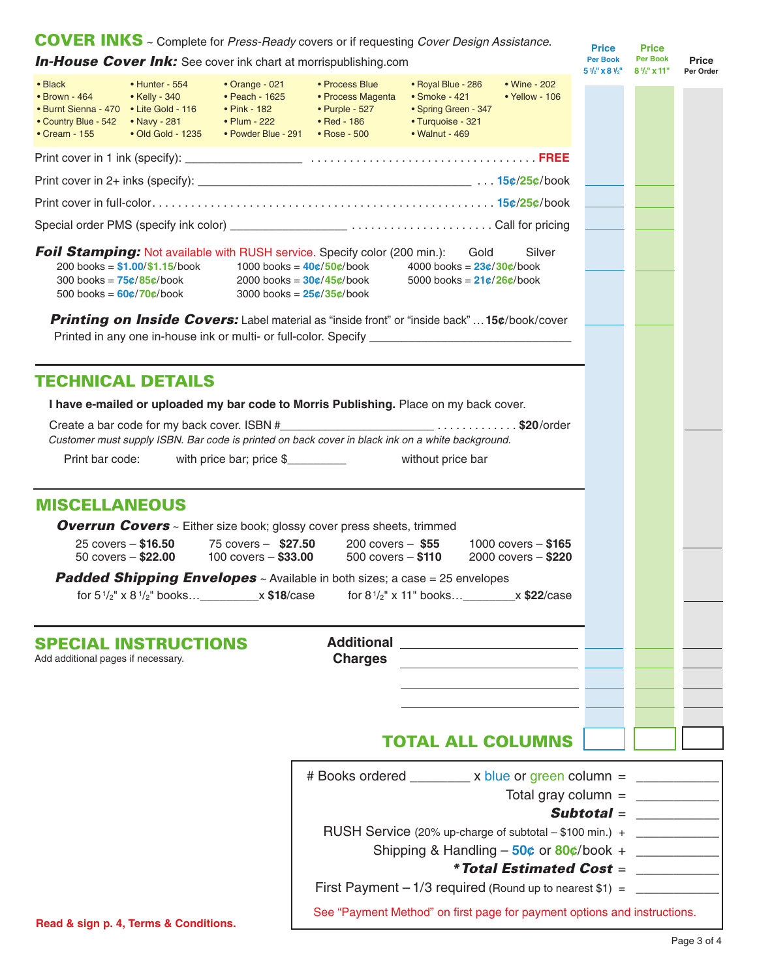|                                                                                                                                  |                                                       | <b>COVER INKS</b> ~ Complete for Press-Ready covers or if requesting Cover Design Assistance.                                                                                                        |                                                                                      |                                                                                                                                                                                                                              |                                                                               | <b>Price</b>                                            | <b>Price</b>                            |                           |
|----------------------------------------------------------------------------------------------------------------------------------|-------------------------------------------------------|------------------------------------------------------------------------------------------------------------------------------------------------------------------------------------------------------|--------------------------------------------------------------------------------------|------------------------------------------------------------------------------------------------------------------------------------------------------------------------------------------------------------------------------|-------------------------------------------------------------------------------|---------------------------------------------------------|-----------------------------------------|---------------------------|
|                                                                                                                                  |                                                       | <b>In-House Cover Ink:</b> See cover ink chart at morrispublishing.com                                                                                                                               |                                                                                      |                                                                                                                                                                                                                              |                                                                               | <b>Per Book</b><br>$5\frac{1}{2}$ " x 8 $\frac{1}{2}$ " | <b>Per Book</b><br>$8\frac{1}{2}$ x 11" | <b>Price</b><br>Per Order |
| • Black<br>• Brown - 464<br>• Burnt Sienna - 470 • Lite Gold - 116<br>• Country Blue - $542$ • Navy - 281<br>$\cdot$ Cream - 155 | $\bullet$ Hunter - 554<br>$\bullet$ Kelly - 340       | $\bullet$ Orange - 021<br>• Peach - 1625<br>$\cdot$ Pink - 182<br>$\bullet$ Plum - 222<br>• Old Gold - 1235 • Powder Blue - 291 • Rose - 500                                                         | • Process Blue<br>• Process Magenta<br>$\bullet$ Purple - 527<br>$\bullet$ Red - 186 | • Royal Blue - 286<br>$\cdot$ Smoke - 421<br>• Spring Green - 347<br>• Turquoise - 321<br>• Walnut - 469                                                                                                                     | • Wine - 202<br>$\bullet$ Yellow - 106                                        |                                                         |                                         |                           |
|                                                                                                                                  |                                                       |                                                                                                                                                                                                      |                                                                                      |                                                                                                                                                                                                                              |                                                                               |                                                         |                                         |                           |
|                                                                                                                                  |                                                       |                                                                                                                                                                                                      |                                                                                      |                                                                                                                                                                                                                              |                                                                               |                                                         |                                         |                           |
|                                                                                                                                  |                                                       |                                                                                                                                                                                                      |                                                                                      |                                                                                                                                                                                                                              |                                                                               |                                                         |                                         |                           |
|                                                                                                                                  |                                                       |                                                                                                                                                                                                      |                                                                                      |                                                                                                                                                                                                                              |                                                                               |                                                         |                                         |                           |
| 300 books = $75c/85c/$ book<br>500 books = $60¢/70¢$ /book                                                                       | $200$ books = $$1.00$ / $$1.15$ /book                 | <b>Foil Stamping:</b> Not available with RUSH service. Specify color (200 min.):<br>1000 books = $40¢/50¢/$ book<br>$2000$ books = $30c/45c/$ book<br>$3000$ books = $25¢/35¢$ book                  |                                                                                      | Gold<br>$4000$ books = $23¢/30¢$ book<br>5000 books = $21¢/26¢$ /book                                                                                                                                                        | Silver                                                                        |                                                         |                                         |                           |
|                                                                                                                                  |                                                       | Printing on Inside Covers: Label material as "inside front" or "inside back"  15¢/book/cover<br>Printed in any one in-house ink or multi- or full-color. Specify ___________________________________ |                                                                                      |                                                                                                                                                                                                                              |                                                                               |                                                         |                                         |                           |
| <b>TECHNICAL DETAILS</b><br>Print bar code:                                                                                      |                                                       | I have e-mailed or uploaded my bar code to Morris Publishing. Place on my back cover.<br>Customer must supply ISBN. Bar code is printed on back cover in black ink on a white background.            |                                                                                      | without price bar                                                                                                                                                                                                            |                                                                               |                                                         |                                         |                           |
| <b>MISCELLANEOUS</b>                                                                                                             | $25 \text{ covers} - $16.50$<br>50 covers $-$ \$22.00 | <b>Overrun Covers</b> ~ Either size book; glossy cover press sheets, trimmed<br>75 covers - \$27.50<br>100 covers $-$ \$33.00                                                                        | $200 \text{ covers} - $55$<br>500 covers $- $110$                                    |                                                                                                                                                                                                                              | 1000 covers $- $165$<br>$2000$ covers $-$ \$220                               |                                                         |                                         |                           |
|                                                                                                                                  |                                                       | <b>Padded Shipping Envelopes</b> ~ Available in both sizes; a case = 25 envelopes<br>for $5\frac{1}{2}$ " x $8\frac{1}{2}$ " books x \$18/case                                                       |                                                                                      | for $8\frac{1}{2}$ " x 11" books x \$22/case                                                                                                                                                                                 |                                                                               |                                                         |                                         |                           |
| <b>SPECIAL INSTRUCTIONS</b><br>Add additional pages if necessary.                                                                |                                                       |                                                                                                                                                                                                      | <b>Charges</b>                                                                       | Additional 2008 and 2012 and 2013                                                                                                                                                                                            | <u> 1980 - Andrea Station Barbara, amerikan per</u>                           |                                                         |                                         |                           |
|                                                                                                                                  |                                                       |                                                                                                                                                                                                      |                                                                                      | <b>TOTAL ALL COLUMNS</b>                                                                                                                                                                                                     |                                                                               |                                                         |                                         |                           |
|                                                                                                                                  |                                                       |                                                                                                                                                                                                      |                                                                                      | # Books ordered _________ x blue or green column = __________<br>RUSH Service (20% up-charge of subtotal $-$ \$100 min.) + ________________________<br>First Payment $-1/3$ required (Round up to nearest \$1) = ___________ | Total gray column = $\frac{1}{2}$<br>$*$ Total Estimated Cost = $\frac{1}{2}$ | $Subtotal =$                                            |                                         |                           |
|                                                                                                                                  |                                                       |                                                                                                                                                                                                      |                                                                                      | See "Payment Method" on first page for payment options and instructions.                                                                                                                                                     |                                                                               |                                                         |                                         |                           |

**Read & sign p. 4, Terms & Conditions.**